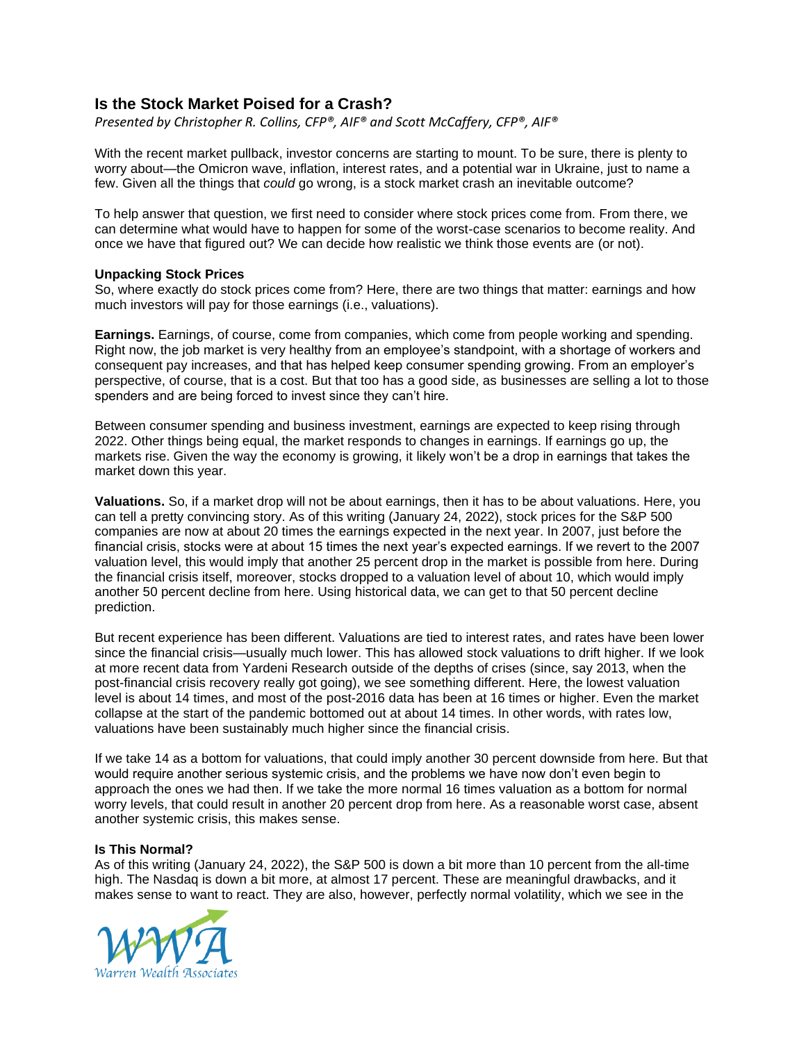## **Is the Stock Market Poised for a Crash?**

*Presented by Christopher R. Collins, CFP®, AIF® and Scott McCaffery, CFP®, AIF®*

With the recent market pullback, investor concerns are starting to mount. To be sure, there is plenty to worry about—the Omicron wave, inflation, interest rates, and a potential war in Ukraine, just to name a few. Given all the things that *could* go wrong, is a stock market crash an inevitable outcome?

To help answer that question, we first need to consider where stock prices come from. From there, we can determine what would have to happen for some of the worst-case scenarios to become reality. And once we have that figured out? We can decide how realistic we think those events are (or not).

## **Unpacking Stock Prices**

So, where exactly do stock prices come from? Here, there are two things that matter: earnings and how much investors will pay for those earnings (i.e., valuations).

**Earnings.** Earnings, of course, come from companies, which come from people working and spending. Right now, the job market is very healthy from an employee's standpoint, with a shortage of workers and consequent pay increases, and that has helped keep consumer spending growing. From an employer's perspective, of course, that is a cost. But that too has a good side, as businesses are selling a lot to those spenders and are being forced to invest since they can't hire.

Between consumer spending and business investment, earnings are expected to keep rising through 2022. Other things being equal, the market responds to changes in earnings. If earnings go up, the markets rise. Given the way the economy is growing, it likely won't be a drop in earnings that takes the market down this year.

**Valuations.** So, if a market drop will not be about earnings, then it has to be about valuations. Here, you can tell a pretty convincing story. As of this writing (January 24, 2022), stock prices for the S&P 500 companies are now at about 20 times the earnings expected in the next year. In 2007, just before the financial crisis, stocks were at about 15 times the next year's expected earnings. If we revert to the 2007 valuation level, this would imply that another 25 percent drop in the market is possible from here. During the financial crisis itself, moreover, stocks dropped to a valuation level of about 10, which would imply another 50 percent decline from here. Using historical data, we can get to that 50 percent decline prediction.

But recent experience has been different. Valuations are tied to interest rates, and rates have been lower since the financial crisis—usually much lower. This has allowed stock valuations to drift higher. If we look at more recent data from Yardeni Research outside of the depths of crises (since, say 2013, when the post-financial crisis recovery really got going), we see something different. Here, the lowest valuation level is about 14 times, and most of the post-2016 data has been at 16 times or higher. Even the market collapse at the start of the pandemic bottomed out at about 14 times. In other words, with rates low, valuations have been sustainably much higher since the financial crisis.

If we take 14 as a bottom for valuations, that could imply another 30 percent downside from here. But that would require another serious systemic crisis, and the problems we have now don't even begin to approach the ones we had then. If we take the more normal 16 times valuation as a bottom for normal worry levels, that could result in another 20 percent drop from here. As a reasonable worst case, absent another systemic crisis, this makes sense.

## **Is This Normal?**

As of this writing (January 24, 2022), the S&P 500 is down a bit more than 10 percent from the all-time high. The Nasdaq is down a bit more, at almost 17 percent. These are meaningful drawbacks, and it makes sense to want to react. They are also, however, perfectly normal volatility, which we see in the